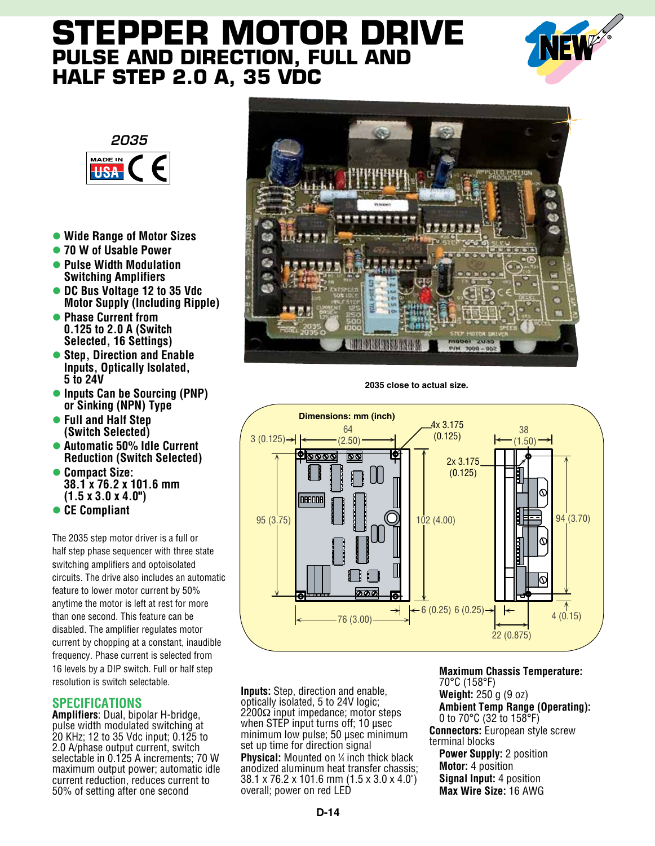# **Stepper Motor Drive Pulse and Direction, Full and Half Step 2.0 A, 35 VDC**





- **Wide Range of Motor Sizes**
- **70 W of Usable Power**
- l **Pulse Width Modulation Switching Amplifiers**
- **DC Bus Voltage 12 to 35 Vdc Motor Supply (Including Ripple)**
- l **Phase Current from 0.125 to 2.0 A (Switch Selected, 16 Settings)**
- **Step. Direction and Enable Inputs, Optically Isolated, 5 to 24V**
- l **Inputs Can be Sourcing (PNP) or Sinking (NPN) Type**
- l **Full and Half Step (Switch Selected)**
- l **Automatic 50% Idle Current Reduction (Switch Selected)**
- l **Compact Size: 38.1 x 76.2 x 101.6 mm (1.5 x 3.0 x 4.0")**
- l **CE Compliant**

The 2035 step motor driver is a full or half step phase sequencer with three state switching amplifiers and optoisolated circuits. The drive also includes an automatic feature to lower motor current by 50% anytime the motor is left at rest for more than one second. This feature can be disabled. The amplifier regulates motor current by chopping at a constant, inaudible frequency. Phase current is selected from 16 levels by a DIP switch. Full or half step resolution is switch selectable.

#### **Specifications**

**Amplifiers**: Dual, bipolar H-bridge, pulse width modulated switching at 20 KHz; 12 to 35 Vdc input; 0.125 to 2.0 A/phase output current, switch selectable in 0.125 A increments; 70 W maximum output power; automatic idle current reduction, reduces current to 50% of setting after one second



**2035 close to actual size.**



**Inputs:** Step, direction and enable, optically isolated, 5 to 24V logic; 2200Ω input impedance; motor steps when STEP input turns off; 10 usec minimum low pulse; 50 µsec minimum set up time for direction signal

**Physical:** Mounted on ¼ inch thick black anodized aluminum heat transfer chassis; 38.1 x 76.2 x 101.6 mm (1.5 x 3.0 x 4.0") overall; power on red LED

**Maximum Chassis Temperature:** 70°C (158°F) **Weight:** 250 g (9 oz) **Ambient Temp Range (Operating):** 0 to 70°C (32 to 158°F) **Connectors:** European style screw terminal blocks **Power Supply:** 2 position **Motor:** 4 position **Signal Input:** 4 position

**Max Wire Size:** 16 AWG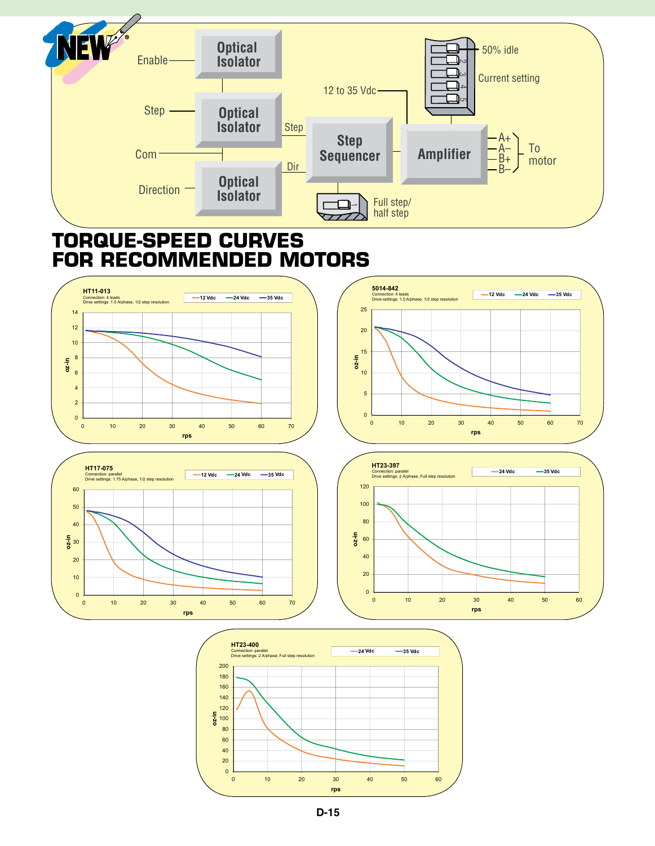

## **Torque-speed curves for recommended motors**